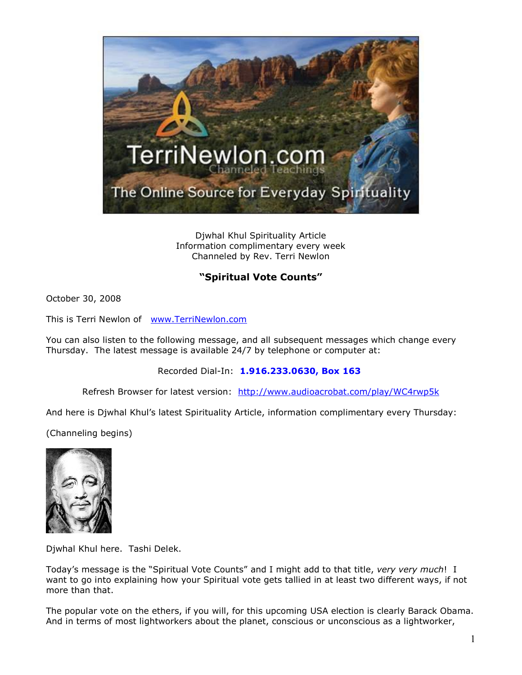

Djwhal Khul Spirituality Article Information complimentary every week Channeled by Rev. Terri Newlon

## **"Spiritual Vote Counts"**

October 30, 2008

This is Terri Newlon of [www.TerriNewlon.com](http://www.terrinewlon.com/)

You can also listen to the following message, and all subsequent messages which change every Thursday. The latest message is available 24/7 by telephone or computer at:

Recorded Dial-In: **1.916.233.0630, Box 163**

Refresh Browser for latest version: <http://www.audioacrobat.com/play/WC4rwp5k>

And here is Djwhal Khul's latest Spirituality Article, information complimentary every Thursday:

(Channeling begins)



Djwhal Khul here. Tashi Delek.

Today's message is the "Spiritual Vote Counts" and I might add to that title, *very very much*! I want to go into explaining how your Spiritual vote gets tallied in at least two different ways, if not more than that.

The popular vote on the ethers, if you will, for this upcoming USA election is clearly Barack Obama. And in terms of most lightworkers about the planet, conscious or unconscious as a lightworker,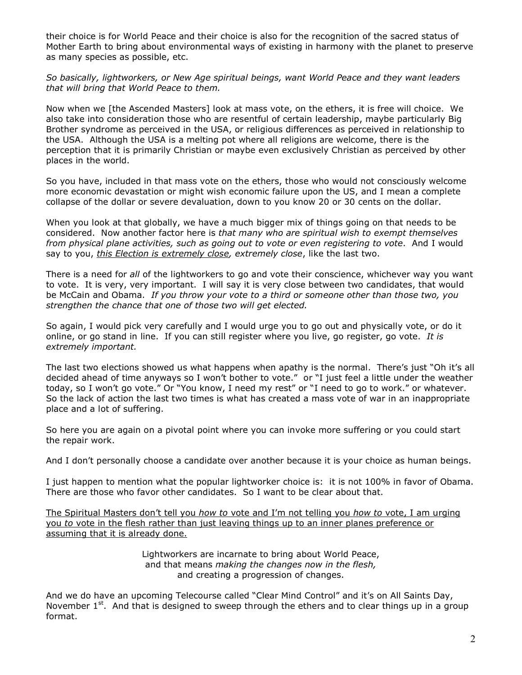their choice is for World Peace and their choice is also for the recognition of the sacred status of Mother Earth to bring about environmental ways of existing in harmony with the planet to preserve as many species as possible, etc.

*So basically, lightworkers, or New Age spiritual beings, want World Peace and they want leaders that will bring that World Peace to them.* 

Now when we [the Ascended Masters] look at mass vote, on the ethers, it is free will choice. We also take into consideration those who are resentful of certain leadership, maybe particularly Big Brother syndrome as perceived in the USA, or religious differences as perceived in relationship to the USA. Although the USA is a melting pot where all religions are welcome, there is the perception that it is primarily Christian or maybe even exclusively Christian as perceived by other places in the world.

So you have, included in that mass vote on the ethers, those who would not consciously welcome more economic devastation or might wish economic failure upon the US, and I mean a complete collapse of the dollar or severe devaluation, down to you know 20 or 30 cents on the dollar.

When you look at that globally, we have a much bigger mix of things going on that needs to be considered. Now another factor here is *that many who are spiritual wish to exempt themselves from physical plane activities, such as going out to vote or even registering to vote*. And I would say to you, *this Election is extremely close, extremely close*, like the last two.

There is a need for *all* of the lightworkers to go and vote their conscience, whichever way you want to vote. It is very, very important. I will say it is very close between two candidates, that would be McCain and Obama. *If you throw your vote to a third or someone other than those two, you strengthen the chance that one of those two will get elected.*

So again, I would pick very carefully and I would urge you to go out and physically vote, or do it online, or go stand in line. If you can still register where you live, go register, go vote. *It is extremely important.*

The last two elections showed us what happens when apathy is the normal. There's just "Oh it's all decided ahead of time anyways so I won't bother to vote." or "I just feel a little under the weather today, so I won't go vote." Or "You know, I need my rest" or "I need to go to work." or whatever. So the lack of action the last two times is what has created a mass vote of war in an inappropriate place and a lot of suffering.

So here you are again on a pivotal point where you can invoke more suffering or you could start the repair work.

And I don't personally choose a candidate over another because it is your choice as human beings.

I just happen to mention what the popular lightworker choice is: it is not 100% in favor of Obama. There are those who favor other candidates. So I want to be clear about that.

The Spiritual Masters don't tell you *how to* vote and I'm not telling you *how to* vote, I am urging you *to* vote in the flesh rather than just leaving things up to an inner planes preference or assuming that it is already done.

> Lightworkers are incarnate to bring about World Peace, and that means *making the changes now in the flesh,* and creating a progression of changes.

And we do have an upcoming Telecourse called "Clear Mind Control" and it's on All Saints Day, November  $1<sup>st</sup>$ . And that is designed to sweep through the ethers and to clear things up in a group format.